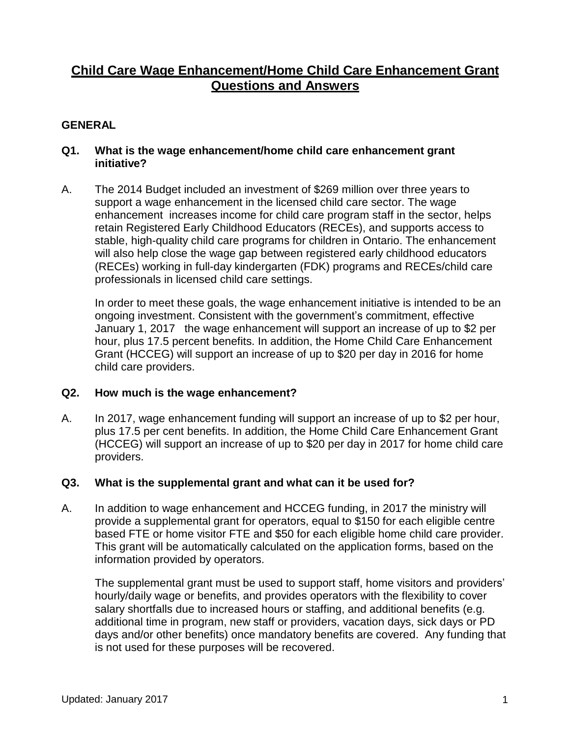# **Child Care Wage Enhancement/Home Child Care Enhancement Grant Questions and Answers**

## **GENERAL**

### **Q1. What is the wage enhancement/home child care enhancement grant initiative?**

A. The 2014 Budget included an investment of \$269 million over three years to support a wage enhancement in the licensed child care sector. The wage enhancement increases income for child care program staff in the sector, helps retain Registered Early Childhood Educators (RECEs), and supports access to stable, high-quality child care programs for children in Ontario. The enhancement will also help close the wage gap between registered early childhood educators (RECEs) working in full-day kindergarten (FDK) programs and RECEs/child care professionals in licensed child care settings.

In order to meet these goals, the wage enhancement initiative is intended to be an ongoing investment. Consistent with the government's commitment, effective January 1, 2017 the wage enhancement will support an increase of up to \$2 per hour, plus 17.5 percent benefits. In addition, the Home Child Care Enhancement Grant (HCCEG) will support an increase of up to \$20 per day in 2016 for home child care providers.

### **Q2. How much is the wage enhancement?**

A. In 2017, wage enhancement funding will support an increase of up to \$2 per hour, plus 17.5 per cent benefits. In addition, the Home Child Care Enhancement Grant (HCCEG) will support an increase of up to \$20 per day in 2017 for home child care providers.

### **Q3. What is the supplemental grant and what can it be used for?**

A. In addition to wage enhancement and HCCEG funding, in 2017 the ministry will provide a supplemental grant for operators, equal to \$150 for each eligible centre based FTE or home visitor FTE and \$50 for each eligible home child care provider. This grant will be automatically calculated on the application forms, based on the information provided by operators.

The supplemental grant must be used to support staff, home visitors and providers' hourly/daily wage or benefits, and provides operators with the flexibility to cover salary shortfalls due to increased hours or staffing, and additional benefits (e.g. additional time in program, new staff or providers, vacation days, sick days or PD days and/or other benefits) once mandatory benefits are covered. Any funding that is not used for these purposes will be recovered.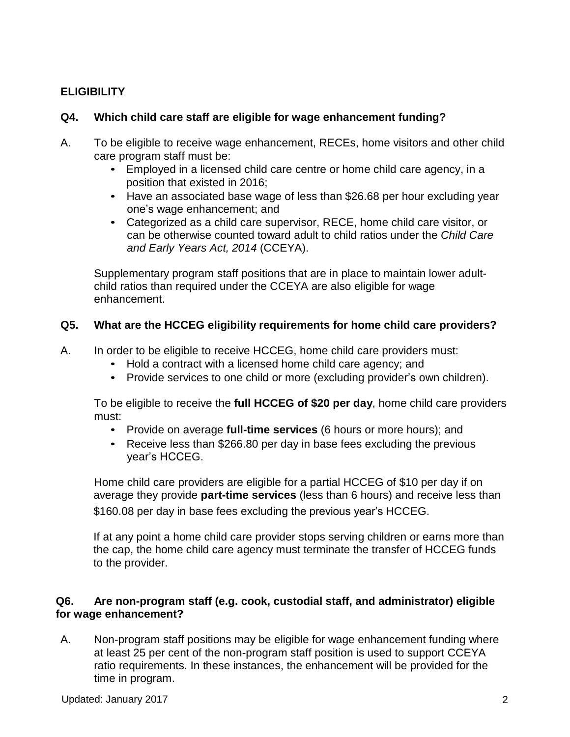# **ELIGIBILITY**

# **Q4. Which child care staff are eligible for wage enhancement funding?**

- A. To be eligible to receive wage enhancement, RECEs, home visitors and other child care program staff must be:
	- Employed in a licensed child care centre or home child care agency, in a position that existed in 2016;
	- Have an associated base wage of less than \$26.68 per hour excluding year one's wage enhancement; and
	- Categorized as a child care supervisor, RECE, home child care visitor, or can be otherwise counted toward adult to child ratios under the *Child Care and Early Years Act, 2014* (CCEYA).

Supplementary program staff positions that are in place to maintain lower adultchild ratios than required under the CCEYA are also eligible for wage enhancement.

# **Q5. What are the HCCEG eligibility requirements for home child care providers?**

A. In order to be eligible to receive HCCEG, home child care providers must:

- Hold a contract with a licensed home child care agency; and
- Provide services to one child or more (excluding provider's own children).

To be eligible to receive the **full HCCEG of \$20 per day**, home child care providers must:

- Provide on average **full-time services** (6 hours or more hours); and
- Receive less than \$266.80 per day in base fees excluding the previous year's HCCEG.

Home child care providers are eligible for a partial HCCEG of \$10 per day if on average they provide **part-time services** (less than 6 hours) and receive less than \$160.08 per day in base fees excluding the previous year's HCCEG.

If at any point a home child care provider stops serving children or earns more than the cap, the home child care agency must terminate the transfer of HCCEG funds to the provider.

### **Q6. Are non-program staff (e.g. cook, custodial staff, and administrator) eligible for wage enhancement?**

A. Non-program staff positions may be eligible for wage enhancement funding where at least 25 per cent of the non-program staff position is used to support CCEYA ratio requirements. In these instances, the enhancement will be provided for the time in program.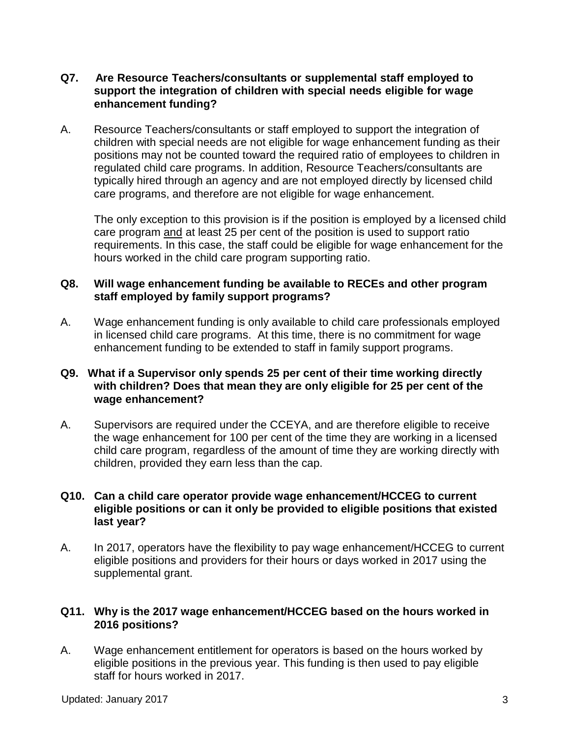### **Q7. Are Resource Teachers/consultants or supplemental staff employed to support the integration of children with special needs eligible for wage enhancement funding?**

A. Resource Teachers/consultants or staff employed to support the integration of children with special needs are not eligible for wage enhancement funding as their positions may not be counted toward the required ratio of employees to children in regulated child care programs. In addition, Resource Teachers/consultants are typically hired through an agency and are not employed directly by licensed child care programs, and therefore are not eligible for wage enhancement.

The only exception to this provision is if the position is employed by a licensed child care program and at least 25 per cent of the position is used to support ratio requirements. In this case, the staff could be eligible for wage enhancement for the hours worked in the child care program supporting ratio.

### **Q8. Will wage enhancement funding be available to RECEs and other program staff employed by family support programs?**

A. Wage enhancement funding is only available to child care professionals employed in licensed child care programs. At this time, there is no commitment for wage enhancement funding to be extended to staff in family support programs.

### **Q9. What if a Supervisor only spends 25 per cent of their time working directly with children? Does that mean they are only eligible for 25 per cent of the wage enhancement?**

A. Supervisors are required under the CCEYA, and are therefore eligible to receive the wage enhancement for 100 per cent of the time they are working in a licensed child care program, regardless of the amount of time they are working directly with children, provided they earn less than the cap.

### **Q10. Can a child care operator provide wage enhancement/HCCEG to current eligible positions or can it only be provided to eligible positions that existed last year?**

A. In 2017, operators have the flexibility to pay wage enhancement/HCCEG to current eligible positions and providers for their hours or days worked in 2017 using the supplemental grant.

### **Q11. Why is the 2017 wage enhancement/HCCEG based on the hours worked in 2016 positions?**

A. Wage enhancement entitlement for operators is based on the hours worked by eligible positions in the previous year. This funding is then used to pay eligible staff for hours worked in 2017.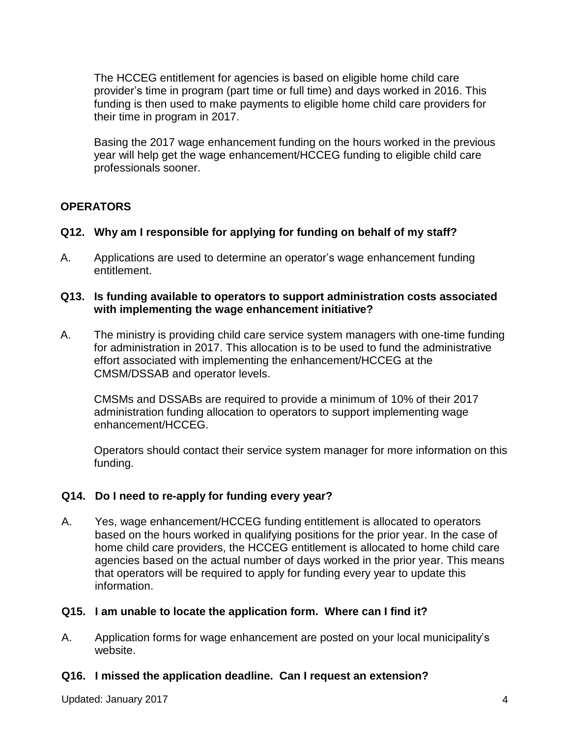The HCCEG entitlement for agencies is based on eligible home child care provider's time in program (part time or full time) and days worked in 2016. This funding is then used to make payments to eligible home child care providers for their time in program in 2017.

Basing the 2017 wage enhancement funding on the hours worked in the previous year will help get the wage enhancement/HCCEG funding to eligible child care professionals sooner.

# **OPERATORS**

### **Q12. Why am I responsible for applying for funding on behalf of my staff?**

A. Applications are used to determine an operator's wage enhancement funding entitlement.

### **Q13. Is funding available to operators to support administration costs associated with implementing the wage enhancement initiative?**

A. The ministry is providing child care service system managers with one-time funding for administration in 2017. This allocation is to be used to fund the administrative effort associated with implementing the enhancement/HCCEG at the CMSM/DSSAB and operator levels.

CMSMs and DSSABs are required to provide a minimum of 10% of their 2017 administration funding allocation to operators to support implementing wage enhancement/HCCEG.

Operators should contact their service system manager for more information on this funding.

### **Q14. Do I need to re-apply for funding every year?**

A. Yes, wage enhancement/HCCEG funding entitlement is allocated to operators based on the hours worked in qualifying positions for the prior year. In the case of home child care providers, the HCCEG entitlement is allocated to home child care agencies based on the actual number of days worked in the prior year. This means that operators will be required to apply for funding every year to update this information.

### **Q15. I am unable to locate the application form. Where can I find it?**

A. Application forms for wage enhancement are posted on your local municipality's website.

### **Q16. I missed the application deadline. Can I request an extension?**

Updated: January 2017 **4 1999 12:30 12:30 12:30 12:30 12:30 12:30 12:30 12:30 12:30 12:30 12:30 12:30 12:30 12:30 12:30 12:30 12:30 12:30 12:40 12:30 12:30 12:30 12:30 12:30 12:30 12:30 12:30 12:30 12:30 12:30 12:30 12:3**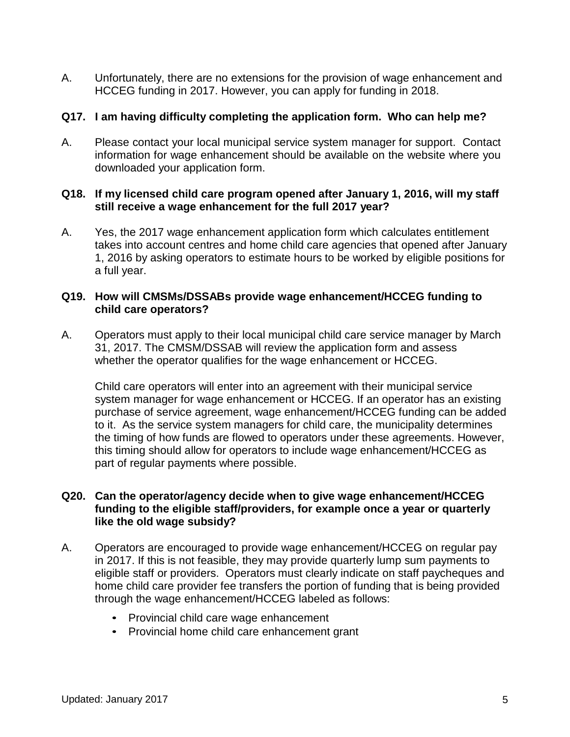A. Unfortunately, there are no extensions for the provision of wage enhancement and HCCEG funding in 2017. However, you can apply for funding in 2018.

### **Q17. I am having difficulty completing the application form. Who can help me?**

A. Please contact your local municipal service system manager for support. Contact information for wage enhancement should be available on the website where you downloaded your application form.

### **Q18. If my licensed child care program opened after January 1, 2016, will my staff still receive a wage enhancement for the full 2017 year?**

A. Yes, the 2017 wage enhancement application form which calculates entitlement takes into account centres and home child care agencies that opened after January 1, 2016 by asking operators to estimate hours to be worked by eligible positions for a full year.

### **Q19. How will CMSMs/DSSABs provide wage enhancement/HCCEG funding to child care operators?**

A. Operators must apply to their local municipal child care service manager by March 31, 2017. The CMSM/DSSAB will review the application form and assess whether the operator qualifies for the wage enhancement or HCCEG.

Child care operators will enter into an agreement with their municipal service system manager for wage enhancement or HCCEG. If an operator has an existing purchase of service agreement, wage enhancement/HCCEG funding can be added to it. As the service system managers for child care, the municipality determines the timing of how funds are flowed to operators under these agreements. However, this timing should allow for operators to include wage enhancement/HCCEG as part of regular payments where possible.

### **Q20. Can the operator/agency decide when to give wage enhancement/HCCEG funding to the eligible staff/providers, for example once a year or quarterly like the old wage subsidy?**

- A. Operators are encouraged to provide wage enhancement/HCCEG on regular pay in 2017. If this is not feasible, they may provide quarterly lump sum payments to eligible staff or providers. Operators must clearly indicate on staff paycheques and home child care provider fee transfers the portion of funding that is being provided through the wage enhancement/HCCEG labeled as follows:
	- Provincial child care wage enhancement
	- Provincial home child care enhancement grant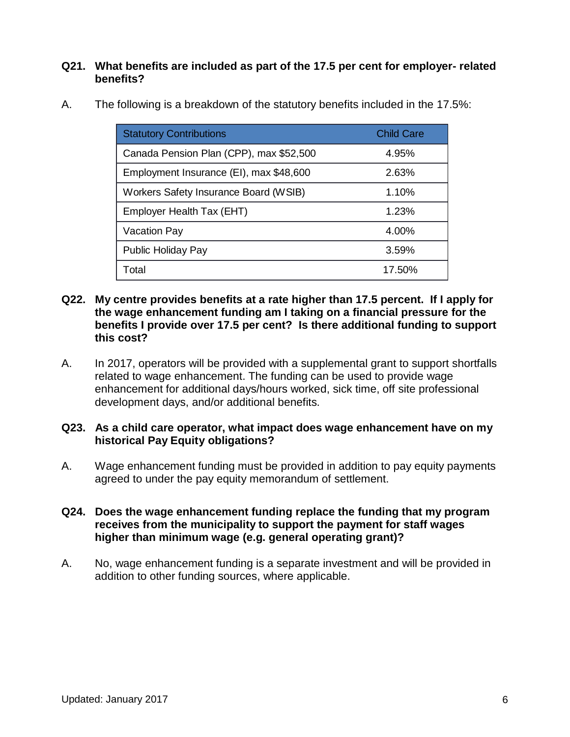### **Q21. What benefits are included as part of the 17.5 per cent for employer- related benefits?**

| <b>Statutory Contributions</b>          | <b>Child Care</b> |
|-----------------------------------------|-------------------|
| Canada Pension Plan (CPP), max \$52,500 | 4.95%             |
| Employment Insurance (EI), max \$48,600 | 2.63%             |
| Workers Safety Insurance Board (WSIB)   | 1.10%             |
| Employer Health Tax (EHT)               | 1.23%             |
| <b>Vacation Pay</b>                     | 4.00%             |
| Public Holiday Pay                      | 3.59%             |
| Total                                   | 17.50%            |

A. The following is a breakdown of the statutory benefits included in the 17.5%:

#### **Q22. My centre provides benefits at a rate higher than 17.5 percent. If I apply for the wage enhancement funding am I taking on a financial pressure for the benefits I provide over 17.5 per cent? Is there additional funding to support this cost?**

A. In 2017, operators will be provided with a supplemental grant to support shortfalls related to wage enhancement. The funding can be used to provide wage enhancement for additional days/hours worked, sick time, off site professional development days, and/or additional benefits.

### **Q23. As a child care operator, what impact does wage enhancement have on my historical Pay Equity obligations?**

A. Wage enhancement funding must be provided in addition to pay equity payments agreed to under the pay equity memorandum of settlement.

### **Q24. Does the wage enhancement funding replace the funding that my program receives from the municipality to support the payment for staff wages higher than minimum wage (e.g. general operating grant)?**

A. No, wage enhancement funding is a separate investment and will be provided in addition to other funding sources, where applicable.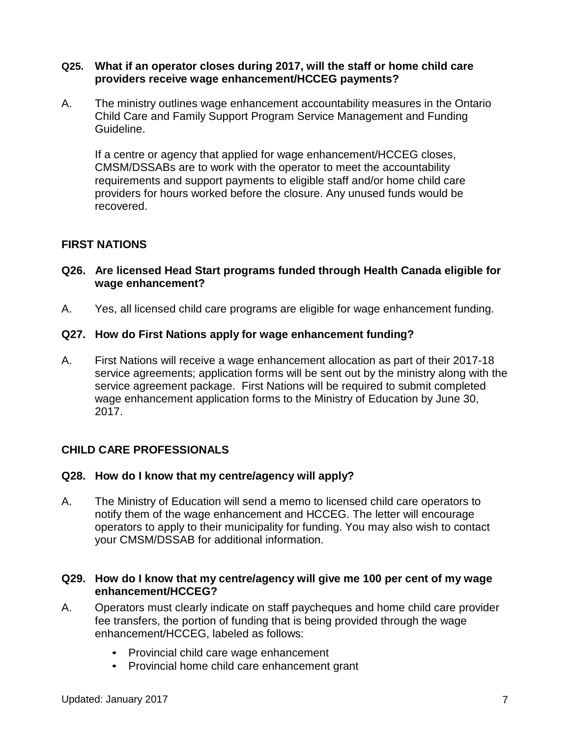#### **Q25. What if an operator closes during 2017, will the staff or home child care providers receive wage enhancement/HCCEG payments?**

A. The ministry outlines wage enhancement accountability measures in the Ontario Child Care and Family Support Program Service Management and Funding Guideline.

If a centre or agency that applied for wage enhancement/HCCEG closes, CMSM/DSSABs are to work with the operator to meet the accountability requirements and support payments to eligible staff and/or home child care providers for hours worked before the closure. Any unused funds would be recovered.

### **FIRST NATIONS**

### **Q26. Are licensed Head Start programs funded through Health Canada eligible for wage enhancement?**

A. Yes, all licensed child care programs are eligible for wage enhancement funding.

### **Q27. How do First Nations apply for wage enhancement funding?**

A. First Nations will receive a wage enhancement allocation as part of their 2017-18 service agreements; application forms will be sent out by the ministry along with the service agreement package. First Nations will be required to submit completed wage enhancement application forms to the Ministry of Education by June 30, 2017.

### **CHILD CARE PROFESSIONALS**

### **Q28. How do I know that my centre/agency will apply?**

A. The Ministry of Education will send a memo to licensed child care operators to notify them of the wage enhancement and HCCEG. The letter will encourage operators to apply to their municipality for funding. You may also wish to contact your CMSM/DSSAB for additional information.

#### **Q29. How do I know that my centre/agency will give me 100 per cent of my wage enhancement/HCCEG?**

- A. Operators must clearly indicate on staff paycheques and home child care provider fee transfers, the portion of funding that is being provided through the wage enhancement/HCCEG, labeled as follows:
	- Provincial child care wage enhancement
	- Provincial home child care enhancement grant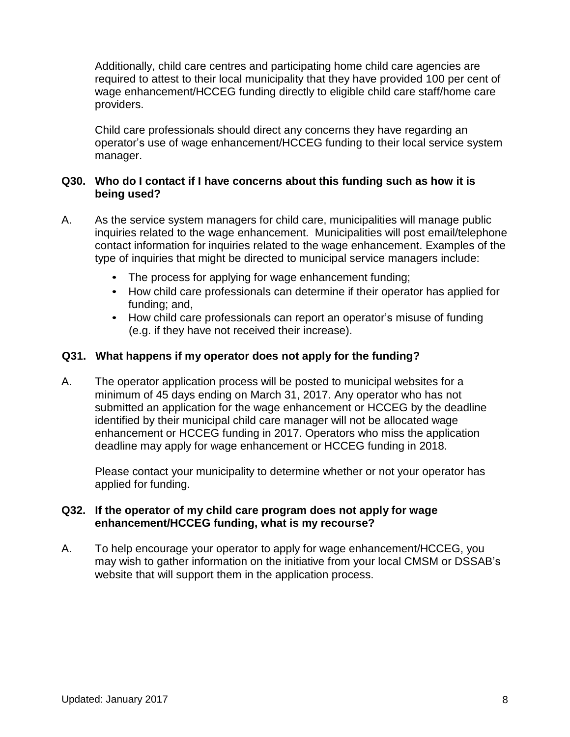Additionally, child care centres and participating home child care agencies are required to attest to their local municipality that they have provided 100 per cent of wage enhancement/HCCEG funding directly to eligible child care staff/home care providers.

Child care professionals should direct any concerns they have regarding an operator's use of wage enhancement/HCCEG funding to their local service system manager.

### **Q30. Who do I contact if I have concerns about this funding such as how it is being used?**

- A. As the service system managers for child care, municipalities will manage public inquiries related to the wage enhancement. Municipalities will post email/telephone contact information for inquiries related to the wage enhancement. Examples of the type of inquiries that might be directed to municipal service managers include:
	- The process for applying for wage enhancement funding;
	- How child care professionals can determine if their operator has applied for funding; and,
	- How child care professionals can report an operator's misuse of funding (e.g. if they have not received their increase).

# **Q31. What happens if my operator does not apply for the funding?**

A. The operator application process will be posted to municipal websites for a minimum of 45 days ending on March 31, 2017. Any operator who has not submitted an application for the wage enhancement or HCCEG by the deadline identified by their municipal child care manager will not be allocated wage enhancement or HCCEG funding in 2017. Operators who miss the application deadline may apply for wage enhancement or HCCEG funding in 2018.

Please contact your municipality to determine whether or not your operator has applied for funding.

### **Q32. If the operator of my child care program does not apply for wage enhancement/HCCEG funding, what is my recourse?**

A. To help encourage your operator to apply for wage enhancement/HCCEG, you may wish to gather information on the initiative from your local CMSM or DSSAB's website that will support them in the application process.